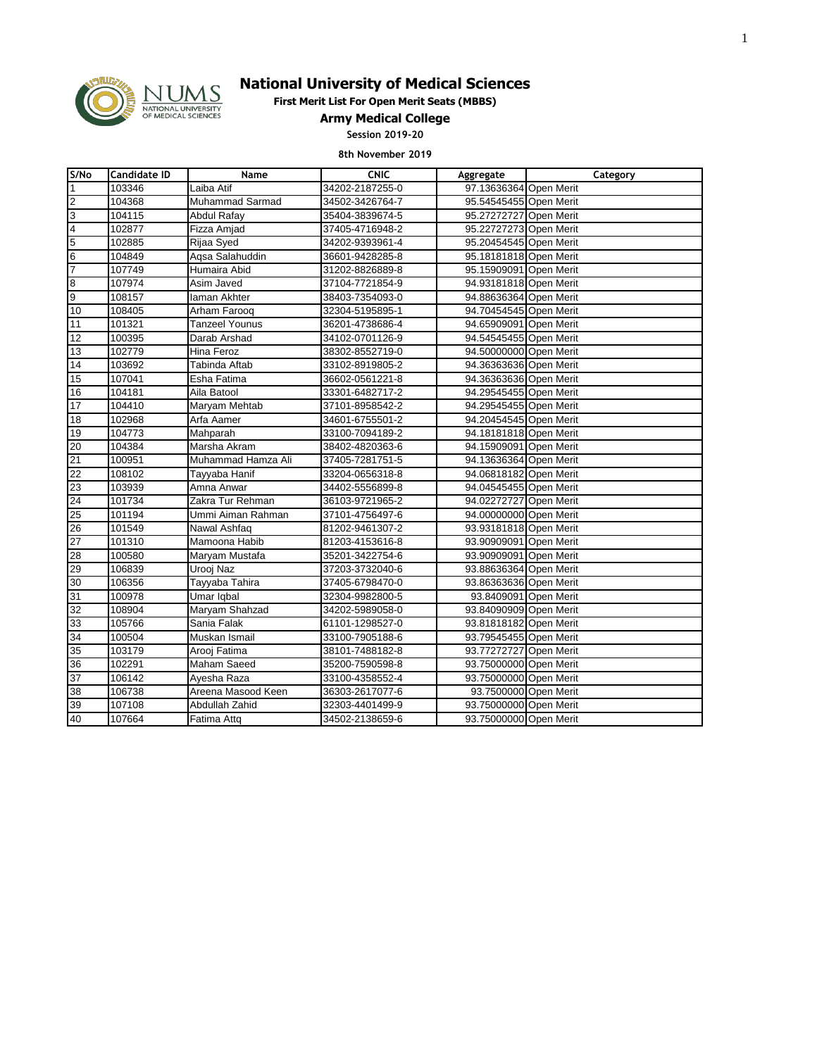

# **National University of Medical Sciences**

**First Merit List For Open Merit Seats (MBBS)**

**Army Medical College**

**Session 2019-20**

### **8th November 2019**

| S/No                     | <b>Candidate ID</b> | Name                   | <b>CNIC</b>     | Aggregate              | Category |
|--------------------------|---------------------|------------------------|-----------------|------------------------|----------|
| $\vert$ 1                | 103346              | Laiba Atif             | 34202-2187255-0 | 97.13636364 Open Merit |          |
| $\overline{2}$           | 104368              | <b>Muhammad Sarmad</b> | 34502-3426764-7 | 95.54545455 Open Merit |          |
| 3                        | 104115              | Abdul Rafay            | 35404-3839674-5 | 95.27272727 Open Merit |          |
| $\overline{\mathcal{A}}$ | 102877              | Fizza Amjad            | 37405-4716948-2 | 95.22727273 Open Merit |          |
| $\overline{5}$           | 102885              | Rijaa Syed             | 34202-9393961-4 | 95.20454545 Open Merit |          |
| $\,$ 6                   | 104849              | Agsa Salahuddin        | 36601-9428285-8 | 95.18181818 Open Merit |          |
| 7                        | 107749              | Humaira Abid           | 31202-8826889-8 | 95.15909091 Open Merit |          |
| 8                        | 107974              | Asim Javed             | 37104-7721854-9 | 94.93181818 Open Merit |          |
| 9                        | 108157              | laman Akhter           | 38403-7354093-0 | 94.88636364 Open Merit |          |
| 10                       | 108405              | Arham Farooq           | 32304-5195895-1 | 94.70454545 Open Merit |          |
| 11                       | 101321              | <b>Tanzeel Younus</b>  | 36201-4738686-4 | 94.65909091 Open Merit |          |
| 12                       | 100395              | Darab Arshad           | 34102-0701126-9 | 94.54545455 Open Merit |          |
| 13                       | 102779              | Hina Feroz             | 38302-8552719-0 | 94.50000000 Open Merit |          |
| 14                       | 103692              | Tabinda Aftab          | 33102-8919805-2 | 94.36363636 Open Merit |          |
| 15                       | 107041              | Esha Fatima            | 36602-0561221-8 | 94.36363636 Open Merit |          |
| 16                       | 104181              | Aila Batool            | 33301-6482717-2 | 94.29545455 Open Merit |          |
| 17                       | 104410              | Maryam Mehtab          | 37101-8958542-2 | 94.29545455 Open Merit |          |
| $\overline{18}$          | 102968              | Arfa Aamer             | 34601-6755501-2 | 94.20454545 Open Merit |          |
| 19                       | 104773              | Mahparah               | 33100-7094189-2 | 94.18181818 Open Merit |          |
| 20                       | 104384              | Marsha Akram           | 38402-4820363-6 | 94.15909091 Open Merit |          |
| 21                       | 100951              | Muhammad Hamza Ali     | 37405-7281751-5 | 94.13636364 Open Merit |          |
| 22                       | 108102              | Tayyaba Hanif          | 33204-0656318-8 | 94.06818182 Open Merit |          |
| 23                       | 103939              | Amna Anwar             | 34402-5556899-8 | 94.04545455 Open Merit |          |
| 24                       | 101734              | Zakra Tur Rehman       | 36103-9721965-2 | 94.02272727 Open Merit |          |
| 25                       | 101194              | Ummi Aiman Rahman      | 37101-4756497-6 | 94.00000000 Open Merit |          |
| 26                       | 101549              | Nawal Ashfaq           | 81202-9461307-2 | 93.93181818 Open Merit |          |
| 27                       | 101310              | Mamoona Habib          | 81203-4153616-8 | 93.90909091 Open Merit |          |
| 28                       | 100580              | Maryam Mustafa         | 35201-3422754-6 | 93.90909091 Open Merit |          |
| 29                       | 106839              | Urooj Naz              | 37203-3732040-6 | 93.88636364 Open Merit |          |
| 30                       | 106356              | Tayyaba Tahira         | 37405-6798470-0 | 93.86363636 Open Merit |          |
| 31                       | 100978              | Umar Iqbal             | 32304-9982800-5 | 93.8409091 Open Merit  |          |
| 32                       | 108904              | Maryam Shahzad         | 34202-5989058-0 | 93.84090909 Open Merit |          |
| 33                       | 105766              | Sania Falak            | 61101-1298527-0 | 93.81818182 Open Merit |          |
| 34                       | 100504              | Muskan Ismail          | 33100-7905188-6 | 93.79545455 Open Merit |          |
| 35                       | 103179              | Arooj Fatima           | 38101-7488182-8 | 93.77272727 Open Merit |          |
| 36                       | 102291              | Maham Saeed            | 35200-7590598-8 | 93.75000000 Open Merit |          |
| 37                       | 106142              | Ayesha Raza            | 33100-4358552-4 | 93.75000000 Open Merit |          |
| 38                       | 106738              | Areena Masood Keen     | 36303-2617077-6 | 93.7500000 Open Merit  |          |
| 39                       | 107108              | Abdullah Zahid         | 32303-4401499-9 | 93.75000000 Open Merit |          |
| 40                       | 107664              | Fatima Attq            | 34502-2138659-6 | 93.75000000 Open Merit |          |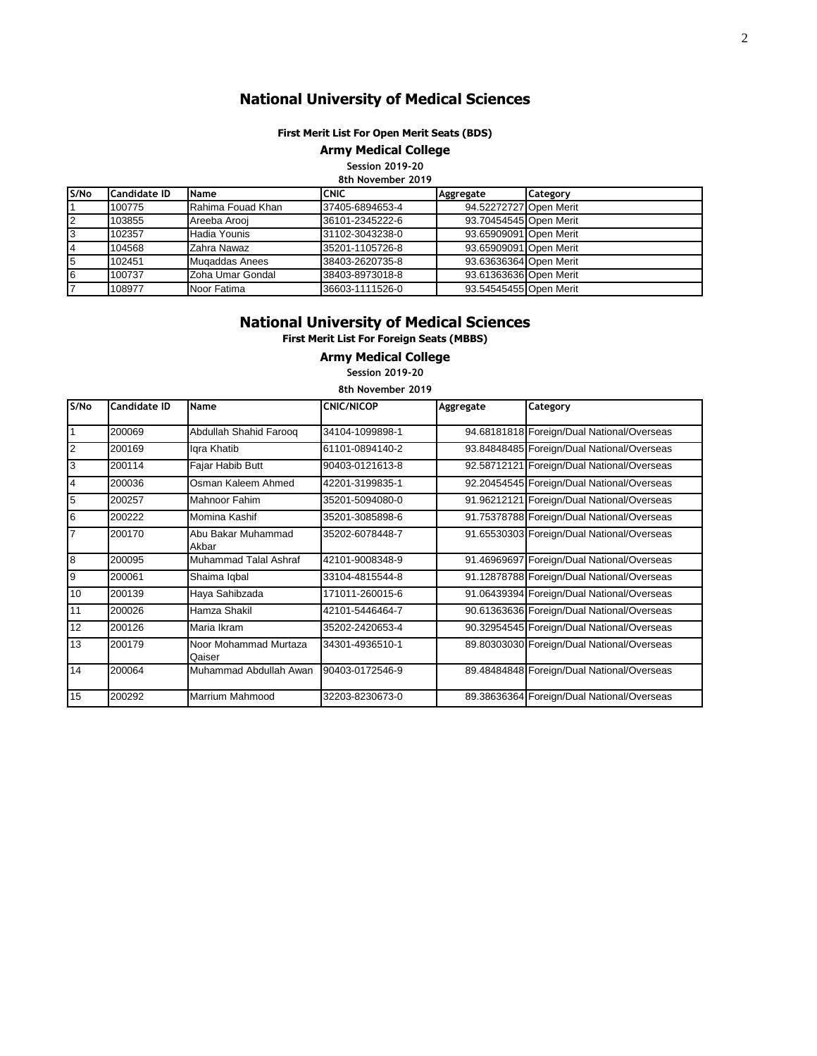# **National University of Medical Sciences**

## **First Merit List For Open Merit Seats (BDS)**

**Army Medical College**

**Session 2019-20 8th November 2019**

| S/No | <b>Candidate ID</b> | <b>Name</b>       | ICNIC           | Aggregate              | Category |
|------|---------------------|-------------------|-----------------|------------------------|----------|
|      | 100775              | Rahima Fouad Khan | 37405-6894653-4 | 94.52272727 Open Merit |          |
|      | 103855              | Areeba Arooi      | 36101-2345222-6 | 93.70454545 Open Merit |          |
|      | 102357              | Hadia Younis      | 31102-3043238-0 | 93.65909091 Open Merit |          |
|      | 104568              | Zahra Nawaz       | 35201-1105726-8 | 93.65909091 Open Merit |          |
|      | 102451              | Mugaddas Anees    | 38403-2620735-8 | 93.63636364 Open Merit |          |
| 6    | 100737              | Zoha Umar Gondal  | 38403-8973018-8 | 93.61363636 Open Merit |          |
|      | 108977              | Noor Fatima       | 36603-1111526-0 | 93.54545455 Open Merit |          |

## **National University of Medical Sciences**

**First Merit List For Foreign Seats (MBBS)**

#### **Army Medical College**

**Session 2019-20**

| 8th November 2019 |              |                                 |                   |           |                                            |
|-------------------|--------------|---------------------------------|-------------------|-----------|--------------------------------------------|
| S/No              | Candidate ID | Name                            | <b>CNIC/NICOP</b> | Aggregate | Category                                   |
| $\vert$ 1         | 200069       | Abdullah Shahid Faroog          | 34104-1099898-1   |           | 94.68181818 Foreign/Dual National/Overseas |
| $\overline{2}$    | 200169       | Igra Khatib                     | 61101-0894140-2   |           | 93.84848485 Foreign/Dual National/Overseas |
| 3                 | 200114       | Fajar Habib Butt                | 90403-0121613-8   |           | 92.58712121 Foreign/Dual National/Overseas |
| 4                 | 200036       | Osman Kaleem Ahmed              | 42201-3199835-1   |           | 92.20454545 Foreign/Dual National/Overseas |
| 5                 | 200257       | Mahnoor Fahim                   | 35201-5094080-0   |           | 91.96212121 Foreign/Dual National/Overseas |
| 6                 | 200222       | Momina Kashif                   | 35201-3085898-6   |           | 91.75378788 Foreign/Dual National/Overseas |
| $\overline{7}$    | 200170       | Abu Bakar Muhammad<br>Akbar     | 35202-6078448-7   |           | 91.65530303 Foreign/Dual National/Overseas |
| $\overline{8}$    | 200095       | Muhammad Talal Ashraf           | 42101-9008348-9   |           | 91.46969697 Foreign/Dual National/Overseas |
| 9                 | 200061       | Shaima Iqbal                    | 33104-4815544-8   |           | 91.12878788 Foreign/Dual National/Overseas |
| 10                | 200139       | Haya Sahibzada                  | 171011-260015-6   |           | 91.06439394 Foreign/Dual National/Overseas |
| 11                | 200026       | Hamza Shakil                    | 42101-5446464-7   |           | 90.61363636 Foreign/Dual National/Overseas |
| 12                | 200126       | Maria Ikram                     | 35202-2420653-4   |           | 90.32954545 Foreign/Dual National/Overseas |
| 13                | 200179       | Noor Mohammad Murtaza<br>Qaiser | 34301-4936510-1   |           | 89.80303030 Foreign/Dual National/Overseas |
| 14                | 200064       | Muhammad Abdullah Awan          | 90403-0172546-9   |           | 89.48484848 Foreign/Dual National/Overseas |
| 15                | 200292       | <b>Marrium Mahmood</b>          | 32203-8230673-0   |           | 89.38636364 Foreign/Dual National/Overseas |